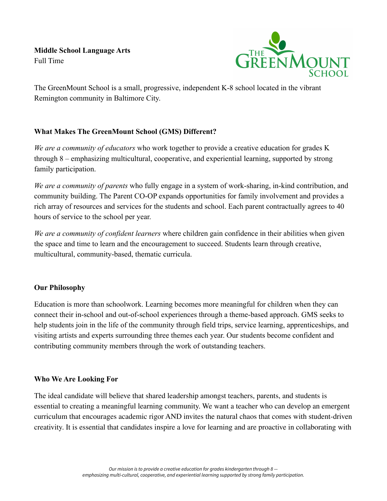**Middle School Language Arts** Full Time



The GreenMount School is a small, progressive, independent K-8 school located in the vibrant Remington community in Baltimore City.

# **What Makes The GreenMount School (GMS) Different?**

*We are a community of educators* who work together to provide a creative education for grades K through 8 – emphasizing multicultural, cooperative, and experiential learning, supported by strong family participation.

*We are a community of parents* who fully engage in a system of work-sharing, in-kind contribution, and community building. The Parent CO-OP expands opportunities for family involvement and provides a rich array of resources and services for the students and school. Each parent contractually agrees to 40 hours of service to the school per year.

*We are a community of confident learners* where children gain confidence in their abilities when given the space and time to learn and the encouragement to succeed. Students learn through creative, multicultural, community-based, thematic curricula.

### **Our Philosophy**

Education is more than schoolwork. Learning becomes more meaningful for children when they can connect their in-school and out-of-school experiences through a theme-based approach. GMS seeks to help students join in the life of the community through field trips, service learning, apprenticeships, and visiting artists and experts surrounding three themes each year. Our students become confident and contributing community members through the work of outstanding teachers.

### **Who We Are Looking For**

The ideal candidate will believe that shared leadership amongst teachers, parents, and students is essential to creating a meaningful learning community. We want a teacher who can develop an emergent curriculum that encourages academic rigor AND invites the natural chaos that comes with student-driven creativity. It is essential that candidates inspire a love for learning and are proactive in collaborating with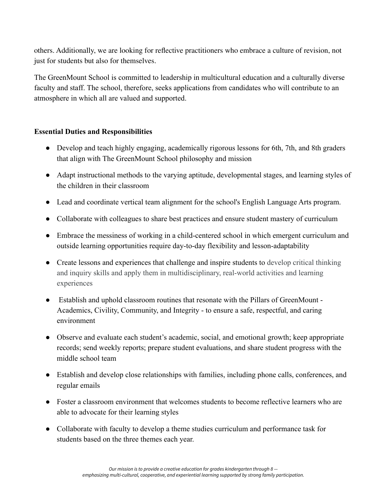others. Additionally, we are looking for reflective practitioners who embrace a culture of revision, not just for students but also for themselves.

The GreenMount School is committed to leadership in multicultural education and a culturally diverse faculty and staff. The school, therefore, seeks applications from candidates who will contribute to an atmosphere in which all are valued and supported.

## **Essential Duties and Responsibilities**

- Develop and teach highly engaging, academically rigorous lessons for 6th, 7th, and 8th graders that align with The GreenMount School philosophy and mission
- Adapt instructional methods to the varying aptitude, developmental stages, and learning styles of the children in their classroom
- Lead and coordinate vertical team alignment for the school's English Language Arts program.
- Collaborate with colleagues to share best practices and ensure student mastery of curriculum
- Embrace the messiness of working in a child-centered school in which emergent curriculum and outside learning opportunities require day-to-day flexibility and lesson-adaptability
- Create lessons and experiences that challenge and inspire students to develop critical thinking and inquiry skills and apply them in multidisciplinary, real-world activities and learning experiences
- Establish and uphold classroom routines that resonate with the Pillars of GreenMount Academics, Civility, Community, and Integrity - to ensure a safe, respectful, and caring environment
- Observe and evaluate each student's academic, social, and emotional growth; keep appropriate records; send weekly reports; prepare student evaluations, and share student progress with the middle school team
- Establish and develop close relationships with families, including phone calls, conferences, and regular emails
- Foster a classroom environment that welcomes students to become reflective learners who are able to advocate for their learning styles
- Collaborate with faculty to develop a theme studies curriculum and performance task for students based on the three themes each year.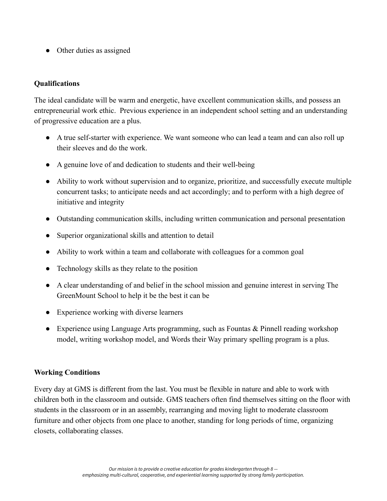• Other duties as assigned

### **Qualifications**

The ideal candidate will be warm and energetic, have excellent communication skills, and possess an entrepreneurial work ethic. Previous experience in an independent school setting and an understanding of progressive education are a plus.

- A true self-starter with experience. We want someone who can lead a team and can also roll up their sleeves and do the work.
- A genuine love of and dedication to students and their well-being
- Ability to work without supervision and to organize, prioritize, and successfully execute multiple concurrent tasks; to anticipate needs and act accordingly; and to perform with a high degree of initiative and integrity
- Outstanding communication skills, including written communication and personal presentation
- Superior organizational skills and attention to detail
- Ability to work within a team and collaborate with colleagues for a common goal
- Technology skills as they relate to the position
- A clear understanding of and belief in the school mission and genuine interest in serving The GreenMount School to help it be the best it can be
- Experience working with diverse learners
- Experience using Language Arts programming, such as Fountas & Pinnell reading workshop model, writing workshop model, and Words their Way primary spelling program is a plus.

### **Working Conditions**

Every day at GMS is different from the last. You must be flexible in nature and able to work with children both in the classroom and outside. GMS teachers often find themselves sitting on the floor with students in the classroom or in an assembly, rearranging and moving light to moderate classroom furniture and other objects from one place to another, standing for long periods of time, organizing closets, collaborating classes.